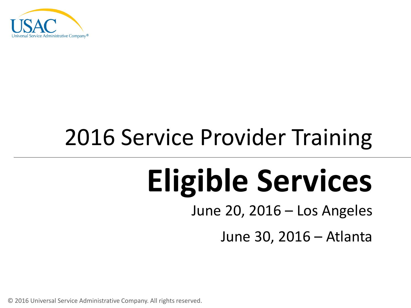

### 2016 Service Provider Training

# **Eligible Services**

June 20, 2016 – Los Angeles

June 30, 2016 – Atlanta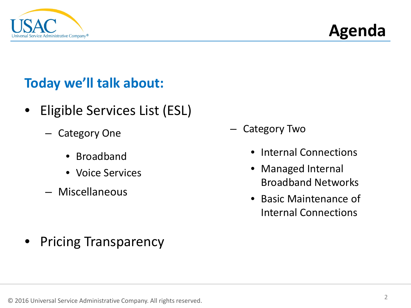



#### **Today we'll talk about:**

- Eligible Services List (ESL)
	- Category One
		- Broadband
		- Voice Services
	- Miscellaneous

• Pricing Transparency

- Category Two
	- Internal Connections
	- Managed Internal Broadband Networks
	- Basic Maintenance of Internal Connections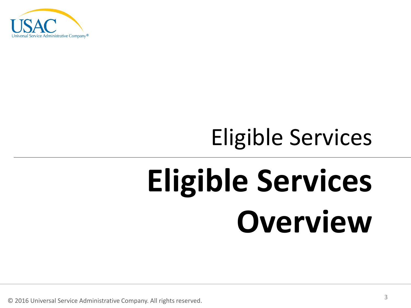

### Eligible Services

# **Eligible Services Overview**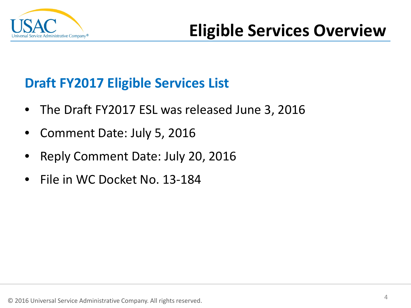

### **Draft FY2017 Eligible Services List**

- The Draft FY2017 ESL was released June 3, 2016
- Comment Date: July 5, 2016
- Reply Comment Date: July 20, 2016
- File in WC Docket No. 13-184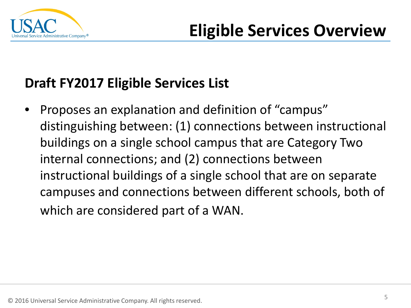

### **Draft FY2017 Eligible Services List**

• Proposes an explanation and definition of "campus" distinguishing between: (1) connections between instructional buildings on a single school campus that are Category Two internal connections; and (2) connections between instructional buildings of a single school that are on separate campuses and connections between different schools, both of which are considered part of a WAN.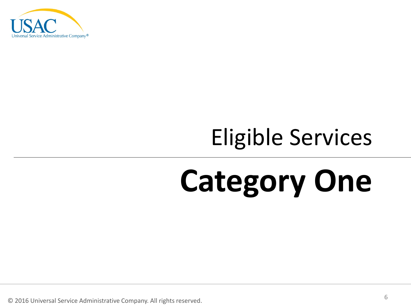

### Eligible Services

## **Category One**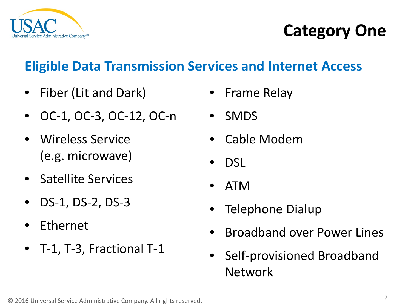

### **Eligible Data Transmission Services and Internet Access**

- Fiber (Lit and Dark)
- OC-1, OC-3, OC-12, OC-n
- Wireless Service (e.g. microwave)
- Satellite Services
- DS-1, DS-2, DS-3
- Ethernet
- T-1, T-3, Fractional T-1
- Frame Relay
- SMDS
- Cable Modem
- DSL
- ATM
- Telephone Dialup
- Broadband over Power Lines
- Self-provisioned Broadband Network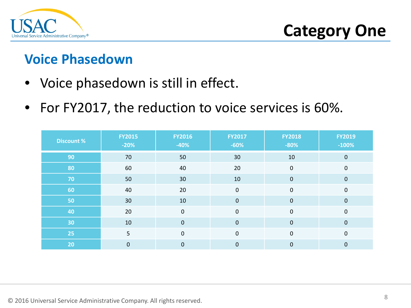

**Category One**

### **Voice Phasedown**

- Voice phasedown is still in effect.
- For FY2017, the reduction to voice services is 60%.

| <b>Discount %</b> | <b>FY2015</b><br>$-20%$ | <b>FY2016</b><br>$-40%$ | <b>FY2017</b><br>$-60%$ | <b>FY2018</b><br>$-80%$ | <b>FY2019</b><br>$-100%$ |
|-------------------|-------------------------|-------------------------|-------------------------|-------------------------|--------------------------|
| 90                | 70                      | 50                      | 30                      | 10                      | $\mathbf 0$              |
| 80                | 60                      | 40                      | 20                      | $\mathbf 0$             | $\mathbf{0}$             |
| 70                | 50                      | 30                      | 10                      | $\mathbf 0$             | $\mathbf{0}$             |
| 60                | 40                      | 20                      | $\mathbf 0$             | $\mathbf 0$             | $\mathbf 0$              |
| 50                | 30                      | 10                      | $\boldsymbol{0}$        | $\mathbf 0$             | $\mathbf{0}$             |
| 40                | 20                      | $\mathbf 0$             | 0                       | $\mathbf 0$             | $\mathbf 0$              |
| 30                | 10                      | $\overline{0}$          | $\mathbf 0$             | $\mathbf 0$             | $\overline{0}$           |
| 25                | 5                       | $\mathbf 0$             | $\boldsymbol{0}$        | $\mathbf 0$             | $\mathbf 0$              |
| 20                | $\mathbf 0$             | $\mathbf 0$             | $\boldsymbol{0}$        | $\mathbf 0$             | $\mathbf 0$              |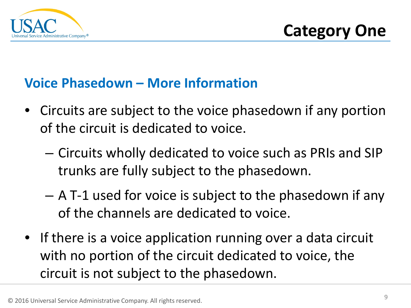

### **Voice Phasedown – More Information**

- Circuits are subject to the voice phasedown if any portion of the circuit is dedicated to voice.
	- Circuits wholly dedicated to voice such as PRIs and SIP trunks are fully subject to the phasedown.
	- A T-1 used for voice is subject to the phasedown if any of the channels are dedicated to voice.
- If there is a voice application running over a data circuit with no portion of the circuit dedicated to voice, the circuit is not subject to the phasedown.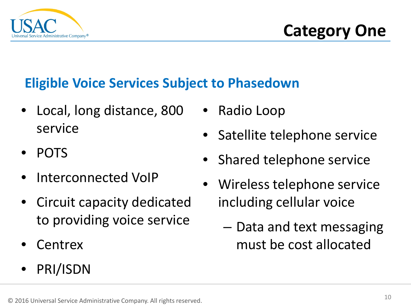

### **Eligible Voice Services Subject to Phasedown**

- Local, long distance, 800 service
- POTS
- Interconnected VoIP
- Circuit capacity dedicated to providing voice service
- Centrex
- PRI/ISDN
- Radio Loop
- Satellite telephone service
- Shared telephone service
- Wireless telephone service including cellular voice
	- Data and text messaging must be cost allocated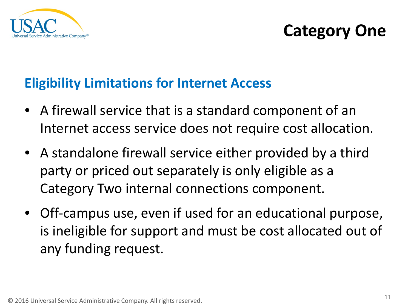

#### **Eligibility Limitations for Internet Access**

- A firewall service that is a standard component of an Internet access service does not require cost allocation.
- A standalone firewall service either provided by a third party or priced out separately is only eligible as a Category Two internal connections component.
- Off-campus use, even if used for an educational purpose, is ineligible for support and must be cost allocated out of any funding request.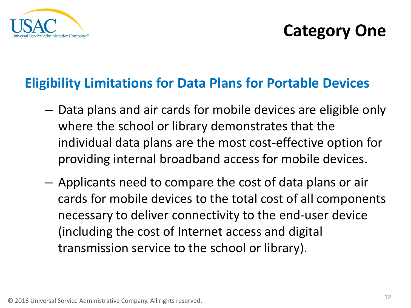

#### **Eligibility Limitations for Data Plans for Portable Devices**

- Data plans and air cards for mobile devices are eligible only where the school or library demonstrates that the individual data plans are the most cost-effective option for providing internal broadband access for mobile devices.
- Applicants need to compare the cost of data plans or air cards for mobile devices to the total cost of all components necessary to deliver connectivity to the end-user device (including the cost of Internet access and digital transmission service to the school or library).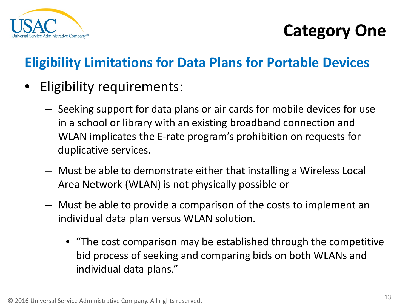

### **Eligibility Limitations for Data Plans for Portable Devices**

- Eligibility requirements:
	- Seeking support for data plans or air cards for mobile devices for use in a school or library with an existing broadband connection and WLAN implicates the E-rate program's prohibition on requests for duplicative services.
	- Must be able to demonstrate either that installing a Wireless Local Area Network (WLAN) is not physically possible or
	- Must be able to provide a comparison of the costs to implement an individual data plan versus WLAN solution.
		- "The cost comparison may be established through the competitive bid process of seeking and comparing bids on both WLANs and individual data plans."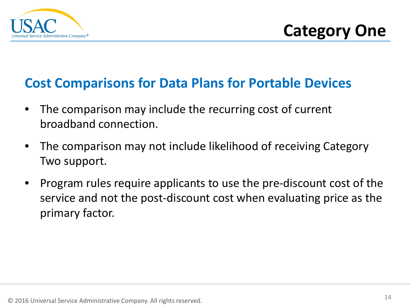

#### **Cost Comparisons for Data Plans for Portable Devices**

- The comparison may include the recurring cost of current broadband connection.
- The comparison may not include likelihood of receiving Category Two support.
- Program rules require applicants to use the pre-discount cost of the service and not the post-discount cost when evaluating price as the primary factor.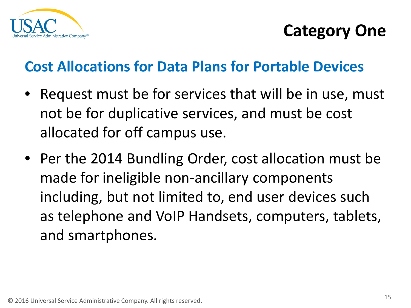

### **Cost Allocations for Data Plans for Portable Devices**

- Request must be for services that will be in use, must not be for duplicative services, and must be cost allocated for off campus use.
- Per the 2014 Bundling Order, cost allocation must be made for ineligible non-ancillary components including, but not limited to, end user devices such as telephone and VoIP Handsets, computers, tablets, and smartphones.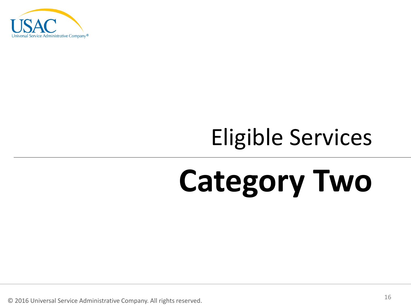

### Eligible Services

## **Category Two**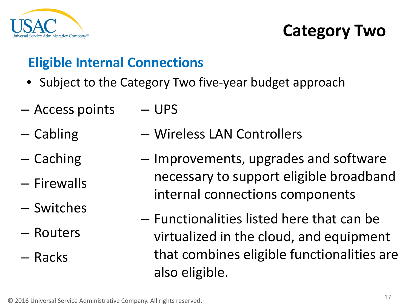

**Category Two**

### **Eligible Internal Connections**

- Subject to the Category Two five-year budget approach
- Access points – UPS
- Cabling – Wireless LAN Controllers
- Caching
- Firewalls
- Switches
- Routers

– Racks

- Improvements, upgrades and software necessary to support eligible broadband internal connections components
- Functionalities listed here that can be virtualized in the cloud, and equipment that combines eligible functionalities are also eligible.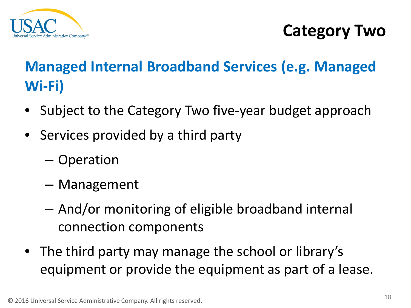

### **Managed Internal Broadband Services (e.g. Managed Wi-Fi)**

- Subject to the Category Two five-year budget approach
- Services provided by a third party
	- Operation
	- Management
	- And/or monitoring of eligible broadband internal connection components
- The third party may manage the school or library's equipment or provide the equipment as part of a lease.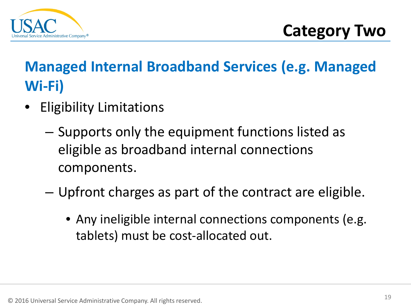

### **Managed Internal Broadband Services (e.g. Managed Wi-Fi)**

- **Eligibility Limitations** 
	- Supports only the equipment functions listed as eligible as broadband internal connections components.
	- Upfront charges as part of the contract are eligible.
		- Any ineligible internal connections components (e.g. tablets) must be cost-allocated out.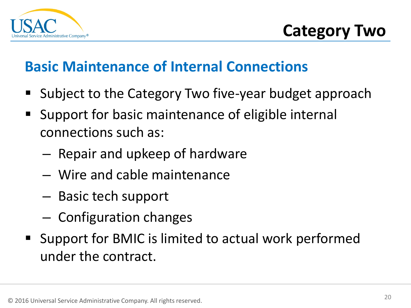

### **Basic Maintenance of Internal Connections**

- Subject to the Category Two five-year budget approach
- Support for basic maintenance of eligible internal connections such as:
	- Repair and upkeep of hardware
	- Wire and cable maintenance
	- Basic tech support
	- Configuration changes
- Support for BMIC is limited to actual work performed under the contract.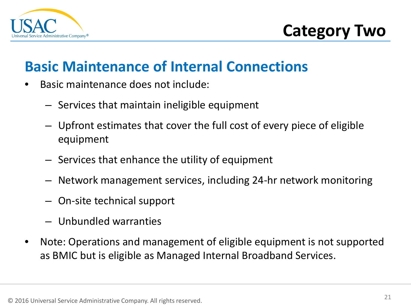

**Category Two**

### **Basic Maintenance of Internal Connections**

- Basic maintenance does not include:
	- Services that maintain ineligible equipment
	- Upfront estimates that cover the full cost of every piece of eligible equipment
	- Services that enhance the utility of equipment
	- Network management services, including 24-hr network monitoring
	- On-site technical support
	- Unbundled warranties
- Note: Operations and management of eligible equipment is not supported as BMIC but is eligible as Managed Internal Broadband Services.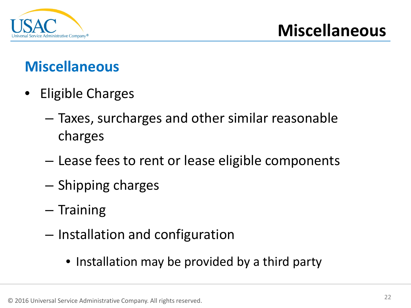

### **Miscellaneous**

- Eligible Charges
	- Taxes, surcharges and other similar reasonable charges
	- Lease fees to rent or lease eligible components
	- Shipping charges
	- Training
	- Installation and configuration
		- Installation may be provided by a third party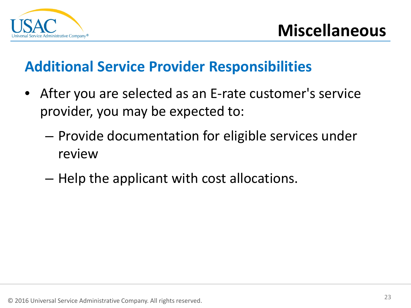

### **Additional Service Provider Responsibilities**

- After you are selected as an E-rate customer's service provider, you may be expected to:
	- Provide documentation for eligible services under review
	- Help the applicant with cost allocations.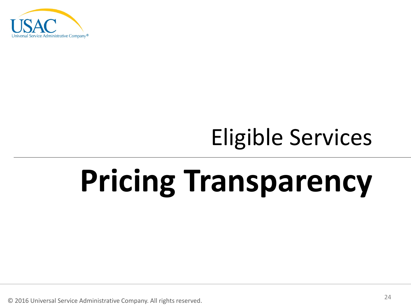

### Eligible Services

# **Pricing Transparency**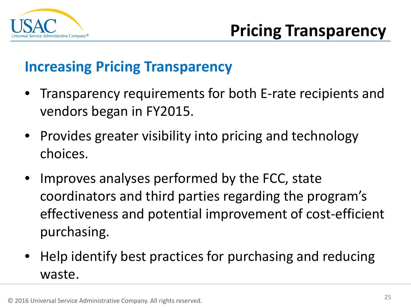

### **Increasing Pricing Transparency**

- Transparency requirements for both E-rate recipients and vendors began in FY2015.
- Provides greater visibility into pricing and technology choices.
- Improves analyses performed by the FCC, state coordinators and third parties regarding the program's effectiveness and potential improvement of cost-efficient purchasing.
- Help identify best practices for purchasing and reducing waste.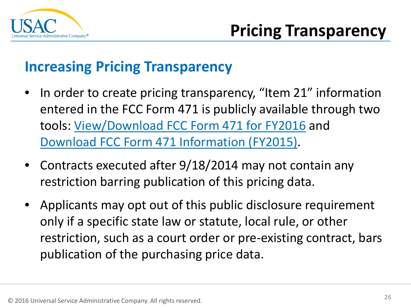

### **Increasing Pricing Transparency**

- In order to create pricing transparency, "Item 21" information entered in the FCC Form 471 is publicly available through two tools: [View/Download FCC Form 471 for FY2016](https://data.usac.org/publicreports/Form471Detail) and [Download FCC Form 471 Information \(FY2015\)](https://slweb.universalservice.org/form471publicdatatool/app/#/).
- Contracts executed after  $9/18/2014$  may not contain any restriction barring publication of this pricing data.
- Applicants may opt out of this public disclosure requirement only if a specific state law or statute, local rule, or other restriction, such as a court order or pre-existing contract, bars publication of the purchasing price data.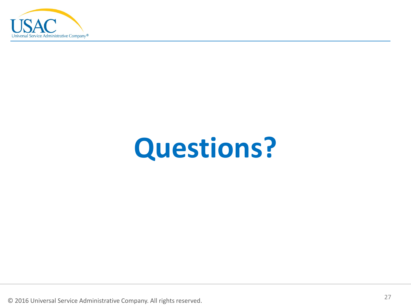

## **Questions?**